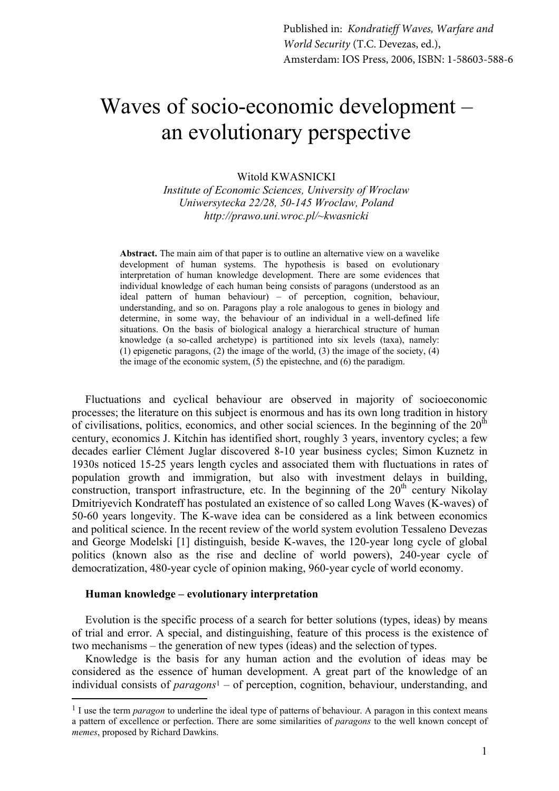Published in: *Kondratieff Waves, Warfare and World Security* (T.C. Devezas, ed.), Amsterdam: IOS Press, 2006, ISBN: 1-58603-588-6

# Waves of socio-economic development – an evolutionary perspective

### Witold KWASNICKI

*Institute of Economic Sciences, University of Wroclaw Uniwersytecka 22/28, 50-145 Wroclaw, Poland http://prawo.uni.wroc.pl/~kwasnicki* 

**Abstract.** The main aim of that paper is to outline an alternative view on a wavelike development of human systems. The hypothesis is based on evolutionary interpretation of human knowledge development. There are some evidences that individual knowledge of each human being consists of paragons (understood as an ideal pattern of human behaviour) – of perception, cognition, behaviour, understanding, and so on. Paragons play a role analogous to genes in biology and determine, in some way, the behaviour of an individual in a well-defined life situations. On the basis of biological analogy a hierarchical structure of human knowledge (a so-called archetype) is partitioned into six levels (taxa), namely: (1) epigenetic paragons, (2) the image of the world, (3) the image of the society, (4) the image of the economic system, (5) the epistechne, and (6) the paradigm.

Fluctuations and cyclical behaviour are observed in majority of socioeconomic processes; the literature on this subject is enormous and has its own long tradition in history of civilisations, politics, economics, and other social sciences. In the beginning of the  $20<sup>th</sup>$ century, economics J. Kitchin has identified short, roughly 3 years, inventory cycles; a few decades earlier Clément Juglar discovered 8-10 year business cycles; Simon Kuznetz in 1930s noticed 15-25 years length cycles and associated them with fluctuations in rates of population growth and immigration, but also with investment delays in building, construction, transport infrastructure, etc. In the beginning of the  $20<sup>th</sup>$  century Nikolay Dmitriyevich Kondrateff has postulated an existence of so called Long Waves (K-waves) of 50-60 years longevity. The K-wave idea can be considered as a link between economics and political science. In the recent review of the world system evolution Tessaleno Devezas and George Modelski [1] distinguish, beside K-waves, the 120-year long cycle of global politics (known also as the rise and decline of world powers), 240-year cycle of democratization, 480-year cycle of opinion making, 960-year cycle of world economy.

### **Human knowledge – evolutionary interpretation**

 $\overline{a}$ 

Evolution is the specific process of a search for better solutions (types, ideas) by means of trial and error. A special, and distinguishing, feature of this process is the existence of two mechanisms – the generation of new types (ideas) and the selection of types.

Knowledge is the basis for any human action and the evolution of ideas may be considered as the essence of human development. A great part of the knowledge of an individual consists of *paragons*1 – of perception, cognition, behaviour, understanding, and

<sup>1</sup> I use the term *paragon* to underline the ideal type of patterns of behaviour. A paragon in this context means a pattern of excellence or perfection. There are some similarities of *paragons* to the well known concept of *memes*, proposed by Richard Dawkins.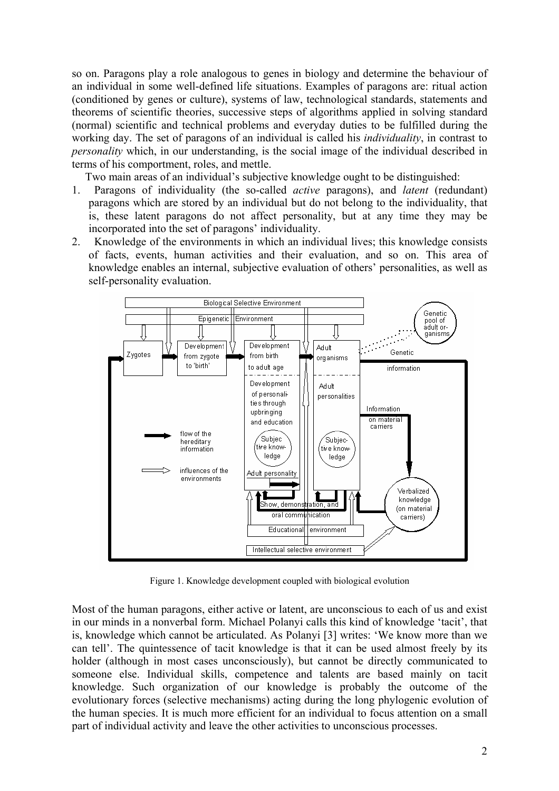so on. Paragons play a role analogous to genes in biology and determine the behaviour of an individual in some well-defined life situations. Examples of paragons are: ritual action (conditioned by genes or culture), systems of law, technological standards, statements and theorems of scientific theories, successive steps of algorithms applied in solving standard (normal) scientific and technical problems and everyday duties to be fulfilled during the working day. The set of paragons of an individual is called his *individuality*, in contrast to *personality* which, in our understanding, is the social image of the individual described in terms of his comportment, roles, and mettle.

Two main areas of an individual's subjective knowledge ought to be distinguished:

- 1. Paragons of individuality (the so-called *active* paragons), and *latent* (redundant) paragons which are stored by an individual but do not belong to the individuality, that is, these latent paragons do not affect personality, but at any time they may be incorporated into the set of paragons' individuality.
- 2. Knowledge of the environments in which an individual lives; this knowledge consists of facts, events, human activities and their evaluation, and so on. This area of knowledge enables an internal, subjective evaluation of others' personalities, as well as self-personality evaluation.



Figure 1. Knowledge development coupled with biological evolution

Most of the human paragons, either active or latent, are unconscious to each of us and exist in our minds in a nonverbal form. Michael Polanyi calls this kind of knowledge 'tacit', that is, knowledge which cannot be articulated. As Polanyi [3] writes: 'We know more than we can tell'. The quintessence of tacit knowledge is that it can be used almost freely by its holder (although in most cases unconsciously), but cannot be directly communicated to someone else. Individual skills, competence and talents are based mainly on tacit knowledge. Such organization of our knowledge is probably the outcome of the evolutionary forces (selective mechanisms) acting during the long phylogenic evolution of the human species. It is much more efficient for an individual to focus attention on a small part of individual activity and leave the other activities to unconscious processes.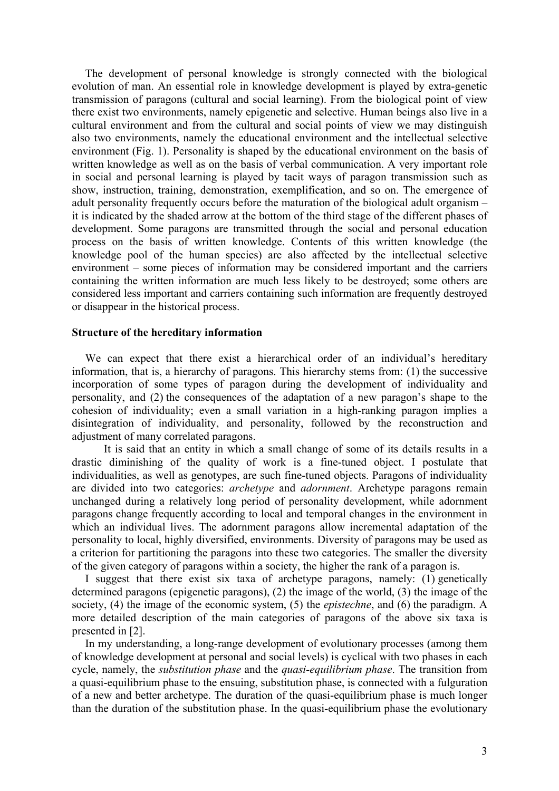The development of personal knowledge is strongly connected with the biological evolution of man. An essential role in knowledge development is played by extra-genetic transmission of paragons (cultural and social learning). From the biological point of view there exist two environments, namely epigenetic and selective. Human beings also live in a cultural environment and from the cultural and social points of view we may distinguish also two environments, namely the educational environment and the intellectual selective environment (Fig. 1). Personality is shaped by the educational environment on the basis of written knowledge as well as on the basis of verbal communication. A very important role in social and personal learning is played by tacit ways of paragon transmission such as show, instruction, training, demonstration, exemplification, and so on. The emergence of adult personality frequently occurs before the maturation of the biological adult organism – it is indicated by the shaded arrow at the bottom of the third stage of the different phases of development. Some paragons are transmitted through the social and personal education process on the basis of written knowledge. Contents of this written knowledge (the knowledge pool of the human species) are also affected by the intellectual selective environment – some pieces of information may be considered important and the carriers containing the written information are much less likely to be destroyed; some others are considered less important and carriers containing such information are frequently destroyed or disappear in the historical process.

### **Structure of the hereditary information**

We can expect that there exist a hierarchical order of an individual's hereditary information, that is, a hierarchy of paragons. This hierarchy stems from: (1) the successive incorporation of some types of paragon during the development of individuality and personality, and (2) the consequences of the adaptation of a new paragon's shape to the cohesion of individuality; even a small variation in a high-ranking paragon implies a disintegration of individuality, and personality, followed by the reconstruction and adjustment of many correlated paragons.

 It is said that an entity in which a small change of some of its details results in a drastic diminishing of the quality of work is a fine-tuned object. I postulate that individualities, as well as genotypes, are such fine-tuned objects. Paragons of individuality are divided into two categories: *archetype* and *adornment*. Archetype paragons remain unchanged during a relatively long period of personality development, while adornment paragons change frequently according to local and temporal changes in the environment in which an individual lives. The adornment paragons allow incremental adaptation of the personality to local, highly diversified, environments. Diversity of paragons may be used as a criterion for partitioning the paragons into these two categories. The smaller the diversity of the given category of paragons within a society, the higher the rank of a paragon is.

I suggest that there exist six taxa of archetype paragons, namely: (1) genetically determined paragons (epigenetic paragons), (2) the image of the world, (3) the image of the society, (4) the image of the economic system, (5) the *epistechne*, and (6) the paradigm. A more detailed description of the main categories of paragons of the above six taxa is presented in [2].

In my understanding, a long-range development of evolutionary processes (among them of knowledge development at personal and social levels) is cyclical with two phases in each cycle, namely, the *substitution phase* and the *quasi-equilibrium phase*. The transition from a quasi-equilibrium phase to the ensuing, substitution phase, is connected with a fulguration of a new and better archetype. The duration of the quasi-equilibrium phase is much longer than the duration of the substitution phase. In the quasi-equilibrium phase the evolutionary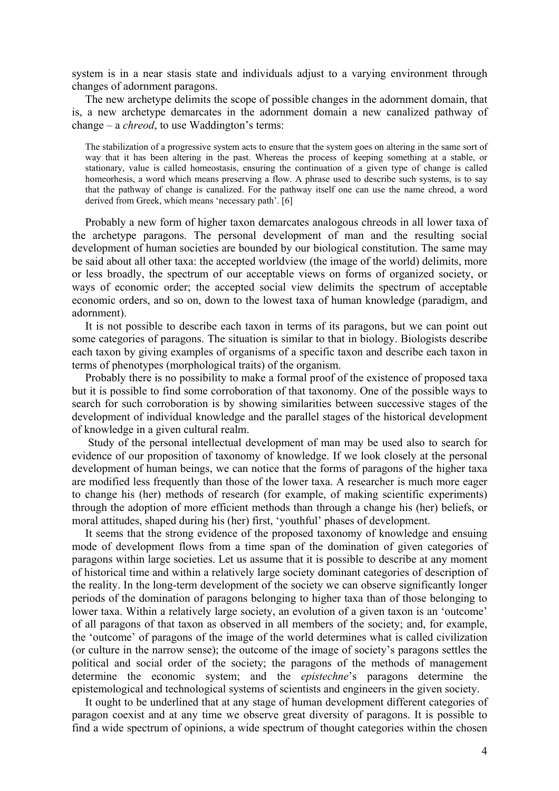system is in a near stasis state and individuals adjust to a varying environment through changes of adornment paragons.

The new archetype delimits the scope of possible changes in the adornment domain, that is, a new archetype demarcates in the adornment domain a new canalized pathway of change – a *chreod*, to use Waddington's terms:

The stabilization of a progressive system acts to ensure that the system goes on altering in the same sort of way that it has been altering in the past. Whereas the process of keeping something at a stable, or stationary, value is called homeostasis, ensuring the continuation of a given type of change is called homeorhesis, a word which means preserving a flow. A phrase used to describe such systems, is to say that the pathway of change is canalized. For the pathway itself one can use the name chreod, a word derived from Greek, which means 'necessary path'. [6]

Probably a new form of higher taxon demarcates analogous chreods in all lower taxa of the archetype paragons. The personal development of man and the resulting social development of human societies are bounded by our biological constitution. The same may be said about all other taxa: the accepted worldview (the image of the world) delimits, more or less broadly, the spectrum of our acceptable views on forms of organized society, or ways of economic order; the accepted social view delimits the spectrum of acceptable economic orders, and so on, down to the lowest taxa of human knowledge (paradigm, and adornment).

It is not possible to describe each taxon in terms of its paragons, but we can point out some categories of paragons. The situation is similar to that in biology. Biologists describe each taxon by giving examples of organisms of a specific taxon and describe each taxon in terms of phenotypes (morphological traits) of the organism.

 Probably there is no possibility to make a formal proof of the existence of proposed taxa but it is possible to find some corroboration of that taxonomy. One of the possible ways to search for such corroboration is by showing similarities between successive stages of the development of individual knowledge and the parallel stages of the historical development of knowledge in a given cultural realm.

 Study of the personal intellectual development of man may be used also to search for evidence of our proposition of taxonomy of knowledge. If we look closely at the personal development of human beings, we can notice that the forms of paragons of the higher taxa are modified less frequently than those of the lower taxa. A researcher is much more eager to change his (her) methods of research (for example, of making scientific experiments) through the adoption of more efficient methods than through a change his (her) beliefs, or moral attitudes, shaped during his (her) first, 'youthful' phases of development.

It seems that the strong evidence of the proposed taxonomy of knowledge and ensuing mode of development flows from a time span of the domination of given categories of paragons within large societies. Let us assume that it is possible to describe at any moment of historical time and within a relatively large society dominant categories of description of the reality. In the long-term development of the society we can observe significantly longer periods of the domination of paragons belonging to higher taxa than of those belonging to lower taxa. Within a relatively large society, an evolution of a given taxon is an 'outcome' of all paragons of that taxon as observed in all members of the society; and, for example, the 'outcome' of paragons of the image of the world determines what is called civilization (or culture in the narrow sense); the outcome of the image of society's paragons settles the political and social order of the society; the paragons of the methods of management determine the economic system; and the *epistechne*'s paragons determine the epistemological and technological systems of scientists and engineers in the given society.

It ought to be underlined that at any stage of human development different categories of paragon coexist and at any time we observe great diversity of paragons. It is possible to find a wide spectrum of opinions, a wide spectrum of thought categories within the chosen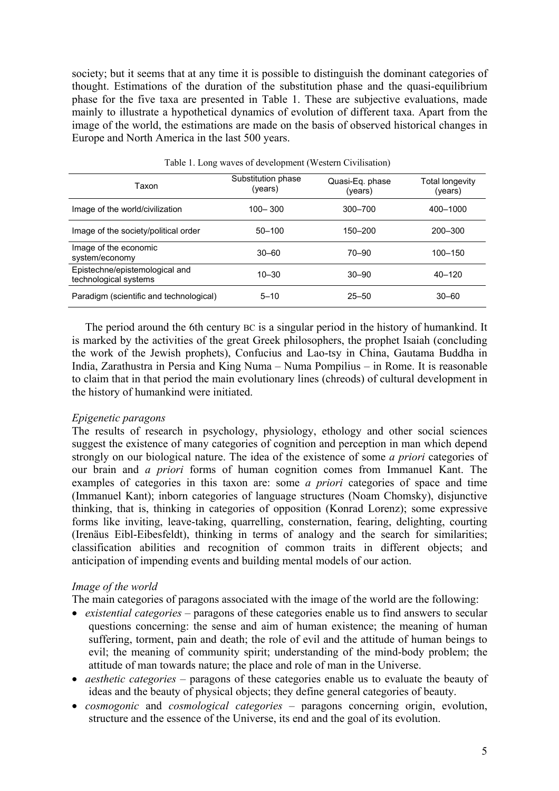society; but it seems that at any time it is possible to distinguish the dominant categories of thought. Estimations of the duration of the substitution phase and the quasi-equilibrium phase for the five taxa are presented in Table 1. These are subjective evaluations, made mainly to illustrate a hypothetical dynamics of evolution of different taxa. Apart from the image of the world, the estimations are made on the basis of observed historical changes in Europe and North America in the last 500 years.

| Taxon                                                   | Substitution phase<br>(years) | Quasi-Eq. phase<br>(years) | Total longevity<br>(years) |
|---------------------------------------------------------|-------------------------------|----------------------------|----------------------------|
| Image of the world/civilization                         | $100 - 300$                   | 300-700                    | 400-1000                   |
| Image of the society/political order                    | $50 - 100$                    | 150–200                    | 200-300                    |
| Image of the economic<br>system/economy                 | $30 - 60$                     | $70 - 90$                  | 100-150                    |
| Epistechne/epistemological and<br>technological systems | $10 - 30$                     | $30 - 90$                  | $40 - 120$                 |
| Paradigm (scientific and technological)                 | $5 - 10$                      | $25 - 50$                  | $30 - 60$                  |

Table 1. Long waves of development (Western Civilisation)

The period around the 6th century BC is a singular period in the history of humankind. It is marked by the activities of the great Greek philosophers, the prophet Isaiah (concluding the work of the Jewish prophets), Confucius and Lao-tsy in China, Gautama Buddha in India, Zarathustra in Persia and King Numa – Numa Pompilius – in Rome. It is reasonable to claim that in that period the main evolutionary lines (chreods) of cultural development in the history of humankind were initiated.

## *Epigenetic paragons*

The results of research in psychology, physiology, ethology and other social sciences suggest the existence of many categories of cognition and perception in man which depend strongly on our biological nature. The idea of the existence of some *a priori* categories of our brain and *a priori* forms of human cognition comes from Immanuel Kant. The examples of categories in this taxon are: some *a priori* categories of space and time (Immanuel Kant); inborn categories of language structures (Noam Chomsky), disjunctive thinking, that is, thinking in categories of opposition (Konrad Lorenz); some expressive forms like inviting, leave-taking, quarrelling, consternation, fearing, delighting, courting (Irenäus Eibl-Eibesfeldt), thinking in terms of analogy and the search for similarities; classification abilities and recognition of common traits in different objects; and anticipation of impending events and building mental models of our action.

## *Image of the world*

The main categories of paragons associated with the image of the world are the following:

- *existential categories* paragons of these categories enable us to find answers to secular questions concerning: the sense and aim of human existence; the meaning of human suffering, torment, pain and death; the role of evil and the attitude of human beings to evil; the meaning of community spirit; understanding of the mind-body problem; the attitude of man towards nature; the place and role of man in the Universe.
- *aesthetic categories* paragons of these categories enable us to evaluate the beauty of ideas and the beauty of physical objects; they define general categories of beauty.
- *cosmogonic* and *cosmological categories* paragons concerning origin, evolution, structure and the essence of the Universe, its end and the goal of its evolution.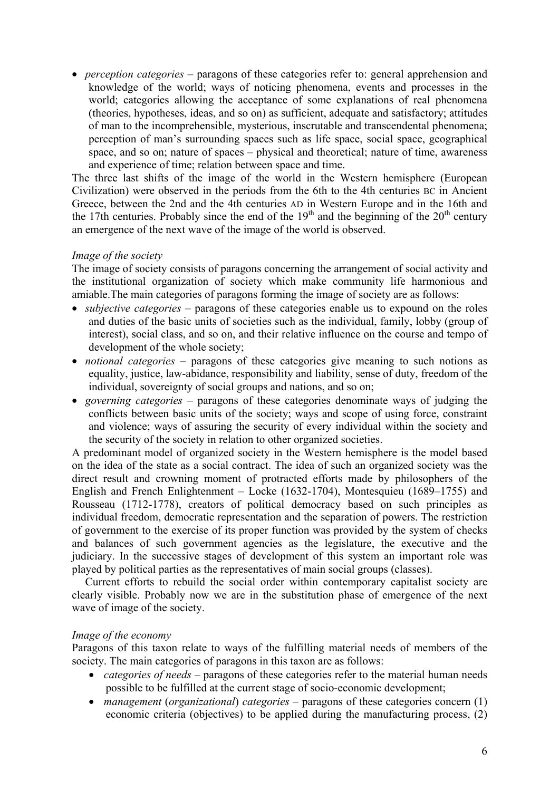• *perception categories* – paragons of these categories refer to: general apprehension and knowledge of the world; ways of noticing phenomena, events and processes in the world; categories allowing the acceptance of some explanations of real phenomena (theories, hypotheses, ideas, and so on) as sufficient, adequate and satisfactory; attitudes of man to the incomprehensible, mysterious, inscrutable and transcendental phenomena; perception of man's surrounding spaces such as life space, social space, geographical space, and so on; nature of spaces – physical and theoretical; nature of time, awareness and experience of time; relation between space and time.

The three last shifts of the image of the world in the Western hemisphere (European Civilization) were observed in the periods from the 6th to the 4th centuries BC in Ancient Greece, between the 2nd and the 4th centuries AD in Western Europe and in the 16th and the 17th centuries. Probably since the end of the  $19<sup>th</sup>$  and the beginning of the  $20<sup>th</sup>$  century an emergence of the next wave of the image of the world is observed.

## *Image of the society*

The image of society consists of paragons concerning the arrangement of social activity and the institutional organization of society which make community life harmonious and amiable.The main categories of paragons forming the image of society are as follows:

- *subjective categories* paragons of these categories enable us to expound on the roles and duties of the basic units of societies such as the individual, family, lobby (group of interest), social class, and so on, and their relative influence on the course and tempo of development of the whole society;
- *notional categories* paragons of these categories give meaning to such notions as equality, justice, law-abidance, responsibility and liability, sense of duty, freedom of the individual, sovereignty of social groups and nations, and so on;
- *governing categories* paragons of these categories denominate ways of judging the conflicts between basic units of the society; ways and scope of using force, constraint and violence; ways of assuring the security of every individual within the society and the security of the society in relation to other organized societies.

A predominant model of organized society in the Western hemisphere is the model based on the idea of the state as a social contract. The idea of such an organized society was the direct result and crowning moment of protracted efforts made by philosophers of the English and French Enlightenment – Locke (1632-1704), Montesquieu (1689–1755) and Rousseau (1712-1778), creators of political democracy based on such principles as individual freedom, democratic representation and the separation of powers. The restriction of government to the exercise of its proper function was provided by the system of checks and balances of such government agencies as the legislature, the executive and the judiciary. In the successive stages of development of this system an important role was played by political parties as the representatives of main social groups (classes).

Current efforts to rebuild the social order within contemporary capitalist society are clearly visible. Probably now we are in the substitution phase of emergence of the next wave of image of the society.

## *Image of the economy*

Paragons of this taxon relate to ways of the fulfilling material needs of members of the society. The main categories of paragons in this taxon are as follows:

- *categories of needs* paragons of these categories refer to the material human needs possible to be fulfilled at the current stage of socio-economic development;
- *management (organizational) categories* paragons of these categories concern (1) economic criteria (objectives) to be applied during the manufacturing process, (2)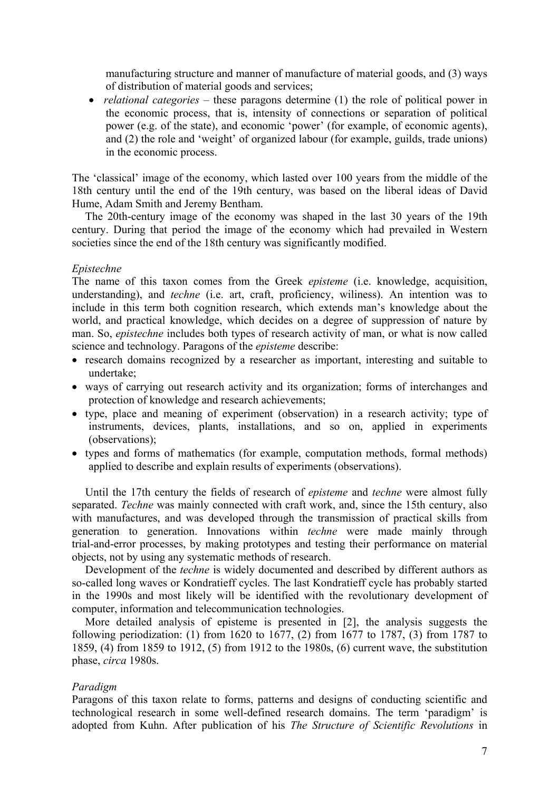manufacturing structure and manner of manufacture of material goods, and (3) ways of distribution of material goods and services;

• *relational categories* – these paragons determine (1) the role of political power in the economic process, that is, intensity of connections or separation of political power (e.g. of the state), and economic 'power' (for example, of economic agents), and (2) the role and 'weight' of organized labour (for example, guilds, trade unions) in the economic process.

The 'classical' image of the economy, which lasted over 100 years from the middle of the 18th century until the end of the 19th century, was based on the liberal ideas of David Hume, Adam Smith and Jeremy Bentham.

The 20th-century image of the economy was shaped in the last 30 years of the 19th century. During that period the image of the economy which had prevailed in Western societies since the end of the 18th century was significantly modified.

## *Epistechne*

The name of this taxon comes from the Greek *episteme* (i.e. knowledge, acquisition, understanding), and *techne* (i.e. art, craft, proficiency, wiliness). An intention was to include in this term both cognition research, which extends man's knowledge about the world, and practical knowledge, which decides on a degree of suppression of nature by man. So, *epistechne* includes both types of research activity of man, or what is now called science and technology. Paragons of the *episteme* describe:

- research domains recognized by a researcher as important, interesting and suitable to undertake;
- ways of carrying out research activity and its organization; forms of interchanges and protection of knowledge and research achievements;
- type, place and meaning of experiment (observation) in a research activity; type of instruments, devices, plants, installations, and so on, applied in experiments (observations);
- types and forms of mathematics (for example, computation methods, formal methods) applied to describe and explain results of experiments (observations).

Until the 17th century the fields of research of *episteme* and *techne* were almost fully separated. *Techne* was mainly connected with craft work, and, since the 15th century, also with manufactures, and was developed through the transmission of practical skills from generation to generation. Innovations within *techne* were made mainly through trial-and-error processes, by making prototypes and testing their performance on material objects, not by using any systematic methods of research.

Development of the *techne* is widely documented and described by different authors as so-called long waves or Kondratieff cycles. The last Kondratieff cycle has probably started in the 1990s and most likely will be identified with the revolutionary development of computer, information and telecommunication technologies.

More detailed analysis of episteme is presented in [2], the analysis suggests the following periodization: (1) from 1620 to 1677, (2) from 1677 to 1787, (3) from 1787 to 1859, (4) from 1859 to 1912, (5) from 1912 to the 1980s, (6) current wave, the substitution phase, *circa* 1980s.

## *Paradigm*

Paragons of this taxon relate to forms, patterns and designs of conducting scientific and technological research in some well-defined research domains. The term 'paradigm' is adopted from Kuhn. After publication of his *The Structure of Scientific Revolutions* in